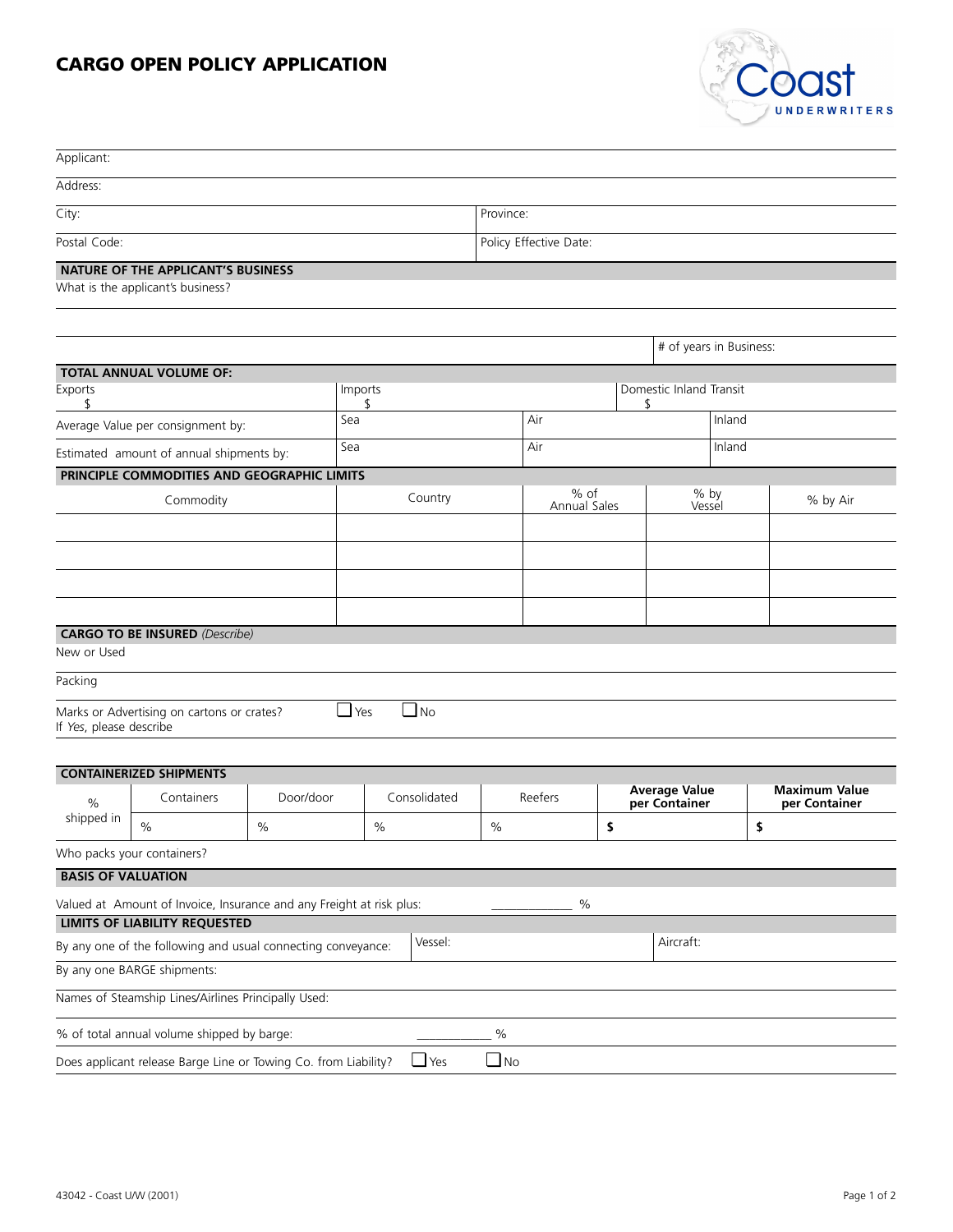## **CARGO OPEN POLICY APPLICATION**



| Applicant:                        |                                                                      |      |               |            |                        |                               |                                       |                         |        |                                       |  |
|-----------------------------------|----------------------------------------------------------------------|------|---------------|------------|------------------------|-------------------------------|---------------------------------------|-------------------------|--------|---------------------------------------|--|
| Address:                          |                                                                      |      |               |            |                        |                               |                                       |                         |        |                                       |  |
| City:                             |                                                                      |      |               |            | Province:              |                               |                                       |                         |        |                                       |  |
| Postal Code:                      |                                                                      |      |               |            | Policy Effective Date: |                               |                                       |                         |        |                                       |  |
|                                   | <b>NATURE OF THE APPLICANT'S BUSINESS</b>                            |      |               |            |                        |                               |                                       |                         |        |                                       |  |
|                                   | What is the applicant's business?                                    |      |               |            |                        |                               |                                       |                         |        |                                       |  |
|                                   |                                                                      |      |               |            |                        |                               |                                       |                         |        |                                       |  |
|                                   |                                                                      |      |               |            |                        |                               |                                       | # of years in Business: |        |                                       |  |
|                                   | <b>TOTAL ANNUAL VOLUME OF:</b>                                       |      |               |            |                        |                               |                                       |                         |        |                                       |  |
| Exports<br>\$                     |                                                                      |      | Imports<br>\$ |            |                        | Domestic Inland Transit<br>\$ |                                       |                         |        |                                       |  |
| Average Value per consignment by: |                                                                      |      | Sea           |            |                        | Air                           |                                       | Inland                  |        |                                       |  |
|                                   | Estimated amount of annual shipments by:                             |      | Sea           |            |                        | Air                           |                                       |                         | Inland |                                       |  |
|                                   | PRINCIPLE COMMODITIES AND GEOGRAPHIC LIMITS                          |      |               |            |                        |                               |                                       |                         |        |                                       |  |
| Commodity                         |                                                                      |      | Country       |            |                        | % of<br>Annual Sales          |                                       | % by<br>Vessel          |        | % by Air                              |  |
|                                   |                                                                      |      |               |            |                        |                               |                                       |                         |        |                                       |  |
|                                   |                                                                      |      |               |            |                        |                               |                                       |                         |        |                                       |  |
|                                   |                                                                      |      |               |            |                        |                               |                                       |                         |        |                                       |  |
|                                   |                                                                      |      |               |            |                        |                               |                                       |                         |        |                                       |  |
|                                   | <b>CARGO TO BE INSURED</b> (Describe)                                |      |               |            |                        |                               |                                       |                         |        |                                       |  |
| New or Used                       |                                                                      |      |               |            |                        |                               |                                       |                         |        |                                       |  |
| Packing                           |                                                                      |      |               |            |                        |                               |                                       |                         |        |                                       |  |
| If Yes, please describe           | Marks or Advertising on cartons or crates?                           |      | $\Box$ Yes    | $\Box$ No  |                        |                               |                                       |                         |        |                                       |  |
|                                   |                                                                      |      |               |            |                        |                               |                                       |                         |        |                                       |  |
|                                   | <b>CONTAINERIZED SHIPMENTS</b>                                       |      |               |            |                        |                               |                                       |                         |        |                                       |  |
| $\%$                              | Door/door<br>Containers                                              |      | Consolidated  |            | Reefers                |                               | <b>Average Value</b><br>per Container |                         |        | <b>Maximum Value</b><br>per Container |  |
| shipped in                        | $\%$                                                                 | $\%$ |               | $\%$       | $\%$                   |                               | \$                                    |                         | \$     |                                       |  |
|                                   | Who packs your containers?                                           |      |               |            |                        |                               |                                       |                         |        |                                       |  |
| <b>BASIS OF VALUATION</b>         |                                                                      |      |               |            |                        |                               |                                       |                         |        |                                       |  |
|                                   | Valued at Amount of Invoice, Insurance and any Freight at risk plus: |      |               |            |                        | $\%$                          |                                       |                         |        |                                       |  |
|                                   | <b>LIMITS OF LIABILITY REQUESTED</b>                                 |      |               | Vessel:    |                        |                               |                                       | Aircraft:               |        |                                       |  |
|                                   | By any one of the following and usual connecting conveyance:         |      |               |            |                        |                               |                                       |                         |        |                                       |  |
|                                   | By any one BARGE shipments:                                          |      |               |            |                        |                               |                                       |                         |        |                                       |  |
|                                   | Names of Steamship Lines/Airlines Principally Used:                  |      |               |            |                        |                               |                                       |                         |        |                                       |  |
|                                   | % of total annual volume shipped by barge:                           |      |               |            | $\%$                   |                               |                                       |                         |        |                                       |  |
|                                   | Does applicant release Barge Line or Towing Co. from Liability?      |      |               | $\Box$ Yes | $\Box$ No              |                               |                                       |                         |        |                                       |  |